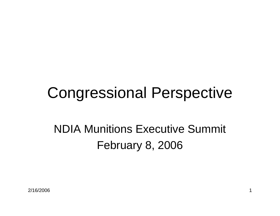# Congressional Perspective

#### NDIA Munitions Executive Summit February 8, 2006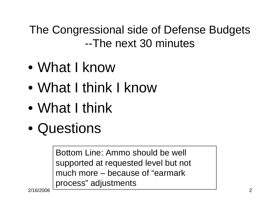The Congressional side of Defense Budgets --The next 30 minutes

- $\bullet$ What I know
- $\bullet$ What I think I know
- $\bullet$ What I think
- $\bullet$ Questions

Bottom Line: Ammo should be well supported at requested level but not much more – because of "earmark process" adjustments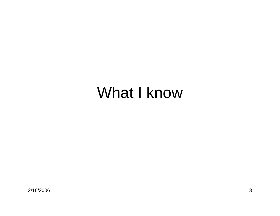### What I know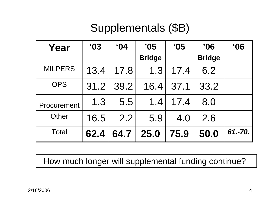#### Supplementals (\$B)

| Year           | $^{\circ}$ 03 | $^{\circ}$ 04 | '05<br><b>Bridge</b> | $^{\circ}$ 05 | $^{\prime}06$<br><b>Bridge</b> | $^{\circ}06$ |
|----------------|---------------|---------------|----------------------|---------------|--------------------------------|--------------|
| <b>MILPERS</b> | 13.4          | 17.8          | 1.3                  | 17.4          | 6.2                            |              |
| <b>OPS</b>     | 31.2          | 39.2          | 16.4                 | 37.1          | 33.2                           |              |
| Procurement    | 1.3           | 5.5           | 1.4                  | 17.4          | 8.0                            |              |
| Other          | 16.5          | 2.2           | 5.9                  | 4.0           | 2.6                            |              |
| <b>Total</b>   | 62.4          | 64.7          | 25.0                 | 75.9          | 50.0                           | 61.-70.      |

How much longer will supplemental funding continue?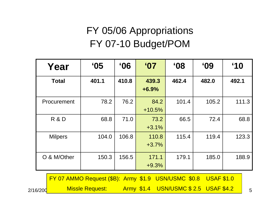#### FY 05/06 Appropriations FY 07-10 Budget/POM

| Year           | $^{\circ}$ 05 | $^{\circ}06$ | $^{\circ}$ 07    | $60^{\circ}$ | $^{\circ}$ 09 | $^{\circ}10$ |
|----------------|---------------|--------------|------------------|--------------|---------------|--------------|
| <b>Total</b>   | 401.1         | 410.8        | 439.3<br>$+6.9%$ | 462.4        | 482.0         | 492.1        |
| Procurement    | 78.2          | 76.2         | 84.2<br>$+10.5%$ | 101.4        | 105.2         | 111.3        |
| R & D          | 68.8          | 71.0         | 73.2<br>$+3.1%$  | 66.5         | 72.4          | 68.8         |
| <b>Milpers</b> | 104.0         | 106.8        | 110.8<br>$+3.7%$ | 115.4        | 119.4         | 123.3        |
| O & M/Other    | 150.3         | 156.5        | 171.1<br>$+9.3%$ | 179.1        | 185.0         | 188.9        |

FY 07 AMMO Request (\$B): Army \$1.9 USN/USMC \$0.8 USAF \$1.0

2/16/2006

**Missle Request:** 

\_\_\_\_\_\_\_Missle Request: \_\_\_\_Army\_\$1.4 USN/USMC \$ 2.5 USAF \$4.2 <sub>\_\_\_\_5</sub>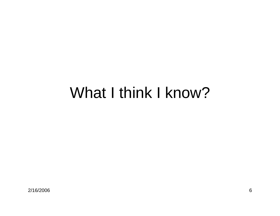### What I think I know?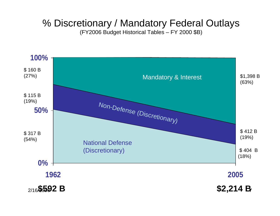#### % Discretionary / Mandatory Federal Outlays

(FY2006 Budget Historical Tables – FY 2000 \$B)

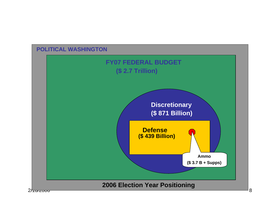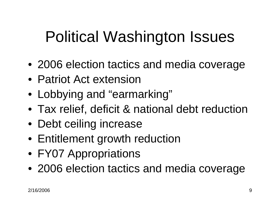# Political Washington Issues

- 2006 election tactics and media coverage
- Patriot Act extension
- Lobbying and "earmarking"
- Tax relief, deficit & national debt reduction
- Debt ceiling increase
- Entitlement growth reduction
- FY07 Appropriations
- 2006 election tactics and media coverage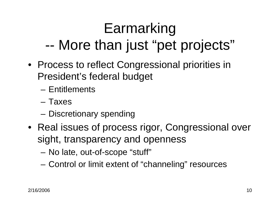#### Earmarking --More than just "pet projects"

- Process to reflect Congressional priorities in President's federal budget
	- Entitlements
	- Taxes
	- –– Discretionary spending
- Real issues of process rigor, Congressional over sight, transparency and openness
	- **Links of the Company** – No late, out-of-scope "stuff"
	- **Links of the Company** Control or limit extent of "channeling" resources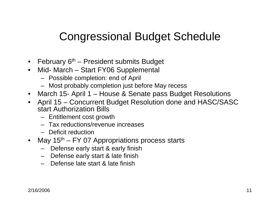#### Congressional Budget Schedule

- February 6<sup>th</sup> President submits Budget
- Mid- March Start FY06 Supplemental
	- Possible completion: end of April
	- Most probably completion just before May recess
- March 15- April 1 House & Senate pass Budget Resolutions
- • April 15 – Concurrent Budget Resolution done and HASC/SASC start Authorization Bills
	- Entitlement cost growth
	- Tax reductions/revenue increases
	- Deficit reduction
- May 15<sup>th</sup> FY 07 Appropriations process starts
	- Defense early start & early finish
	- Defense early start & late finish
	- Defense late start & late finish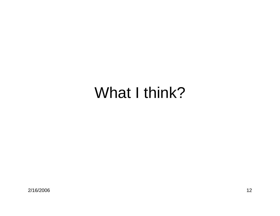### What I think?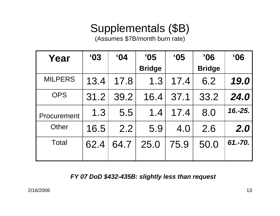#### Supplementals (\$B)

(Assumes \$7B/month burn rate)

| Year           | $^{\circ}$ 03 | $^{\circ}$ 04 | '05           | $^{\circ}$ 05 | '06           | $^{\circ}06$ |
|----------------|---------------|---------------|---------------|---------------|---------------|--------------|
|                |               |               | <b>Bridge</b> |               | <b>Bridge</b> |              |
| <b>MILPERS</b> | 13.4          | 17.8          | 1.3           | 17.4          | 6.2           | 19.0         |
| <b>OPS</b>     | 31.2          | 39.2          | 16.4          | 37.1          | 33.2          | 24.0         |
| Procurement    | 1.3           | 5.5           | 1.4           | 17.4          | 8.0           | $16.-25.$    |
| Other          | 16.5          | 2.2           | 5.9           | 4.0           | 2.6           | 2.0          |
| Total          | 62.4          | 64.7          | 25.0          | 75.9          | 50.0          | 61.-70.      |

*FY 07 DoD \$432-435B: slightly less than request*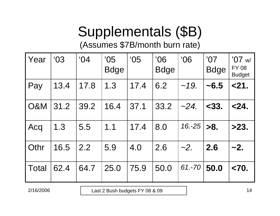### Supplementals (\$B)

(Assumes \$7B/month burn rate)

| Year           | 03   | 04'  | '05<br><b>Bdge</b> | $^{\circ}$ 05 | 06'<br><b>Bdge</b> | 06'       | '07<br><b>Bdge</b> | '07 $w/$<br><b>FY 08</b><br><b>Budget</b> |
|----------------|------|------|--------------------|---------------|--------------------|-----------|--------------------|-------------------------------------------|
| Pay            | 13.4 | 17.8 | 1.3                | 17.4          | 6.2                | ~19.      | ~16.5              | < 21.                                     |
| <b>O&amp;M</b> | 31.2 | 39.2 | 16.4               | 37.1          | 33.2               | $-24.$    | $<$ 33.            | 24.                                       |
| Acq            | 1.3  | 5.5  | 1.1                | 17.4          | 8.0                | $16. -25$ | >8.                | >23.                                      |
| <b>Othr</b>    | 16.5 | 2.2  | 5.9                | 4.0           | 2.6                | $\sim$ 2. | 2.6                | ~2.                                       |
| <b>Total</b>   | 62.4 | 64.7 | 25.0               | 75.9          | 50.0               | $61.-70$  | 50.0               | < 70.                                     |

2/16/2006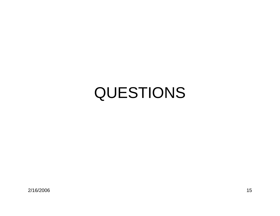# QUESTIONS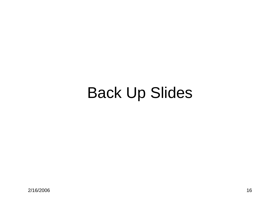# Back Up Slides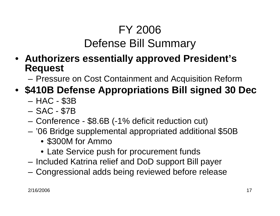#### FY 2006 Defense Bill Summary

- **Authorizers essentially approved President's Request**
	- and the state of the Pressure on Cost Containment and Acquisition Reform
- **\$410B Defense Appropriations Bill signed 30 Dec**
	- –HAC - \$3B
	- and the state of the SAC - \$7B
	- **Links of the Company** Conference - \$8.6B (-1% deficit reduction cut)
	- '06 Bridge supplemental appropriated additional \$50B
		- \$300M for Ammo
		- Late Service push for procurement funds
	- Included Katrina relief and DoD support Bill payer
	- and the state of the Congressional adds being reviewed before release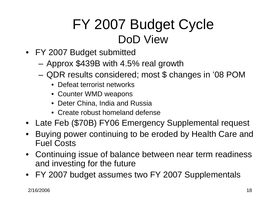#### FY 2007 Budget Cycle DoD View

- FY 2007 Budget submitted
	- **Links of the Company** Approx \$439B with 4.5% real growth
	- and the state of the QDR results considered; most \$ changes in '08 POM
		- Defeat terrorist networks
		- Counter WMD weapons
		- Deter China, India and Russia
		- Create robust homeland defense
- Late Feb (\$70B) FY06 Emergency Supplemental request
- $\bullet$  Buying power continuing to be eroded by Health Care and Fuel Costs
- $\bullet$  Continuing issue of balance between near term readiness and investing for the future
- FY 2007 budget assumes two FY 2007 Supplementals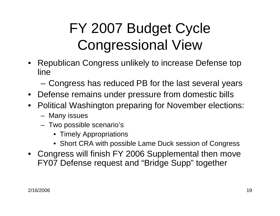# FY 2007 Budget Cycle Congressional View

- Republican Congress unlikely to increase Defense top line
	- **Links of the Company** Congress has reduced PB for the last several years
- Defense remains under pressure from domestic bills
- Political Washington preparing for November elections:
	- Many issues
	- $\hspace{0.1mm}-\hspace{0.1mm}$  Two possible scenario's
		- Timely Appropriations
		- Short CRA with possible Lame Duck session of Congress
- Congress will finish FY 2006 Supplemental then move FY07 Defense request and "Bridge Supp" together